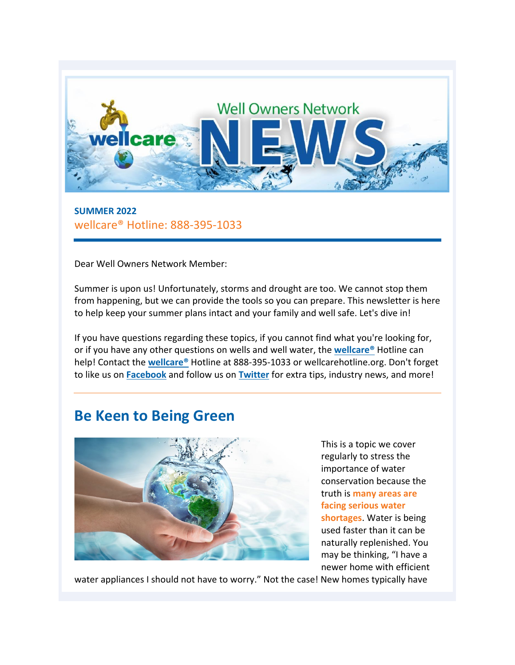

**SUMMER 2022** wellcare® Hotline: 888-395-1033

Dear Well Owners Network Member:

Summer is upon us! Unfortunately, storms and drought are too. We cannot stop them from happening, but we can provide the tools so you can prepare. This newsletter is here to help keep your summer plans intact and your family and well safe. Let's dive in!

If you have questions regarding these topics, if you cannot find what you're looking for, or if you have any other questions on wells and well water, the **[wellcare®](https://wellcarehotline.org/ask-a-question/)** Hotline can help! Contact the **[wellcare®](https://wellcarehotline.org/ask-a-question/)** Hotline at 888-395-1033 or wellcarehotline.org. Don't forget to like us on **[Facebook](https://facebook.com/wellcareWellOwnersNetwork)** and follow us on **[Twitter](https://twitter.com/wellcarewon)** for extra tips, industry news, and more!

# **Be Keen to Being Green**



This is a topic we cover regularly to stress the importance of water conservation because the truth is **many areas are facing serious water shortages**. Water is being used faster than it can be naturally replenished. You may be thinking, "I have a newer home with efficient

water appliances I should not have to worry." Not the case! New homes typically have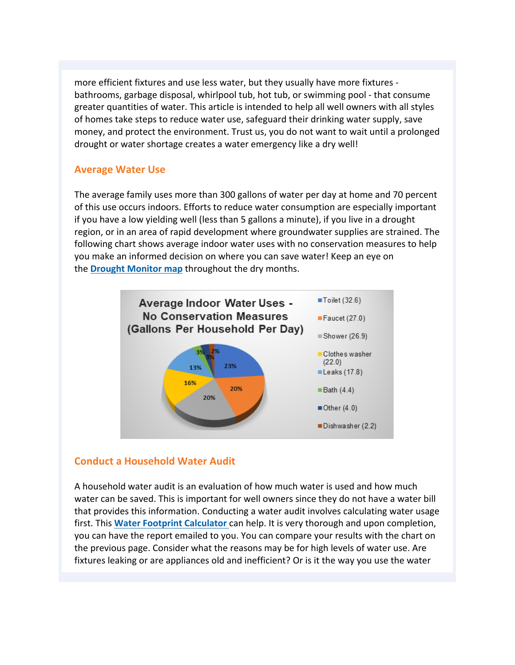more efficient fixtures and use less water, but they usually have more fixtures bathrooms, garbage disposal, whirlpool tub, hot tub, or swimming pool - that consume greater quantities of water. This article is intended to help all well owners with all styles of homes take steps to reduce water use, safeguard their drinking water supply, save money, and protect the environment. Trust us, you do not want to wait until a prolonged drought or water shortage creates a water emergency like a dry well!

#### **Average Water Use**

The average family uses more than 300 gallons of water per day at home and 70 percent of this use occurs indoors. Efforts to reduce water consumption are especially important if you have a low yielding well (less than 5 gallons a minute), if you live in a drought region, or in an area of rapid development where groundwater supplies are strained. The following chart shows average indoor water uses with no conservation measures to help you make an informed decision on where you can save water! Keep an eye on the **[Drought Monitor map](https://www.drought.gov/)** throughout the dry months.



### **Conduct a Household Water Audit**

A household water audit is an evaluation of how much water is used and how much water can be saved. This is important for well owners since they do not have a water bill that provides this information. Conducting a water audit involves calculating water usage first. This **[Water Footprint Calculator](https://www.watercalculator.org/wfc2/q/household/)** can help. It is very thorough and upon completion, you can have the report emailed to you. You can compare your results with the chart on the previous page. Consider what the reasons may be for high levels of water use. Are fixtures leaking or are appliances old and inefficient? Or is it the way you use the water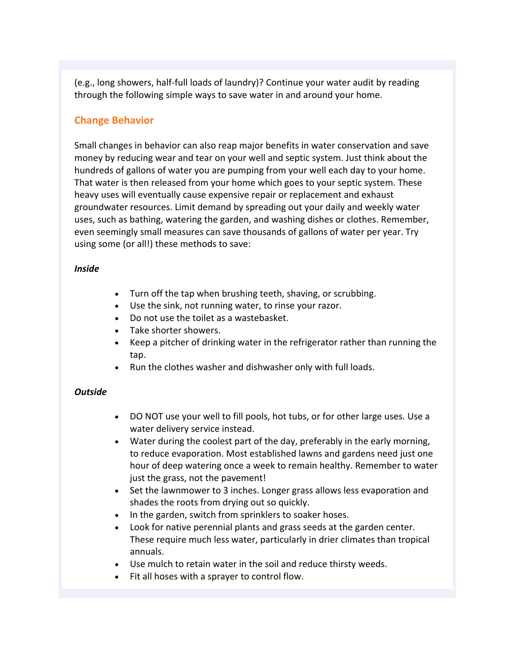(e.g., long showers, half-full loads of laundry)? Continue your water audit by reading through the following simple ways to save water in and around your home.

### **Change Behavior**

Small changes in behavior can also reap major benefits in water conservation and save money by reducing wear and tear on your well and septic system. Just think about the hundreds of gallons of water you are pumping from your well each day to your home. That water is then released from your home which goes to your septic system. These heavy uses will eventually cause expensive repair or replacement and exhaust groundwater resources. Limit demand by spreading out your daily and weekly water uses, such as bathing, watering the garden, and washing dishes or clothes. Remember, even seemingly small measures can save thousands of gallons of water per year. Try using some (or all!) these methods to save:

#### *Inside*

- Turn off the tap when brushing teeth, shaving, or scrubbing.
- Use the sink, not running water, to rinse your razor.
- Do not use the toilet as a wastebasket.
- Take shorter showers.
- Keep a pitcher of drinking water in the refrigerator rather than running the tap.
- Run the clothes washer and dishwasher only with full loads.

#### *Outside*

- DO NOT use your well to fill pools, hot tubs, or for other large uses. Use a water delivery service instead.
- Water during the coolest part of the day, preferably in the early morning, to reduce evaporation. Most established lawns and gardens need just one hour of deep watering once a week to remain healthy. Remember to water just the grass, not the pavement!
- Set the lawnmower to 3 inches. Longer grass allows less evaporation and shades the roots from drying out so quickly.
- In the garden, switch from sprinklers to soaker hoses.
- Look for native perennial plants and grass seeds at the garden center. These require much less water, particularly in drier climates than tropical annuals.
- Use mulch to retain water in the soil and reduce thirsty weeds.
- Fit all hoses with a sprayer to control flow.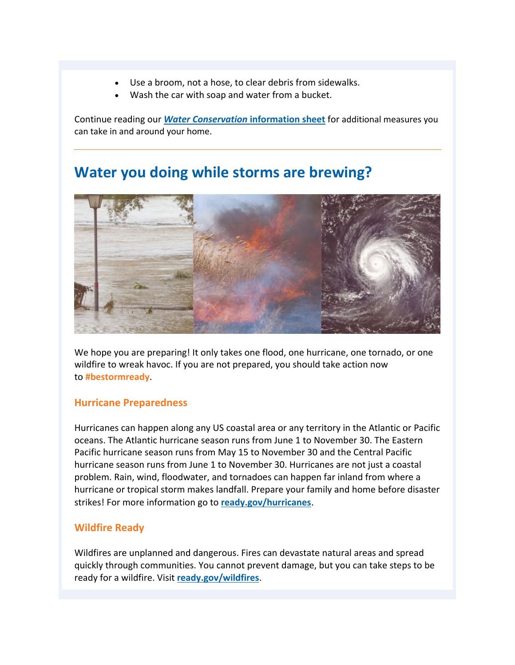- Use a broom, not a hose, to clear debris from sidewalks.
- Wash the car with soap and water from a bucket.

Continue reading our *[Water Conservation](https://wellcarehotline.org/download/wellcare_information_sheets/other_information_sheets/Water-Conservation.pdf)* **[information sheet](https://wellcarehotline.org/download/wellcare_information_sheets/other_information_sheets/Water-Conservation.pdf)** for additional measures you can take in and around your home.

# **Water you doing while storms are brewing?**



We hope you are preparing! It only takes one flood, one hurricane, one tornado, or one wildfire to wreak havoc. If you are not prepared, you should take action now to **#bestormready**.

#### **Hurricane Preparedness**

Hurricanes can happen along any US coastal area or any territory in the Atlantic or Pacific oceans. The Atlantic hurricane season runs from June 1 to November 30. The Eastern Pacific hurricane season runs from May 15 to November 30 and the Central Pacific hurricane season runs from June 1 to November 30. Hurricanes are not just a coastal problem. Rain, wind, floodwater, and tornadoes can happen far inland from where a hurricane or tropical storm makes landfall. Prepare your family and home before disaster strikes! For more information go to **[ready.gov/hurricanes](https://www.ready.gov/hurricanes)**.

#### **Wildfire Ready**

Wildfires are unplanned and dangerous. Fires can devastate natural areas and spread quickly through communities. You cannot prevent damage, but you can take steps to be ready for a wildfire. Visit **[ready.gov/wildfires](https://www.ready.gov/wildfires)**.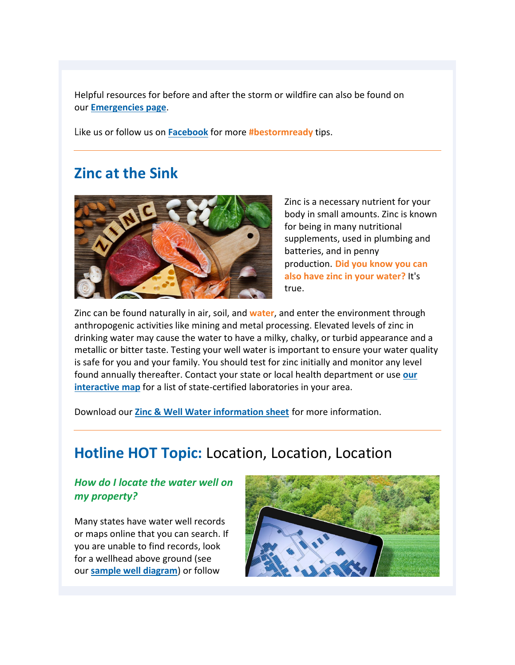Helpful resources for before and after the storm or wildfire can also be found on our **[Emergencies page](https://wellcarehotline.org/emergency-agencies/)**.

Like us or follow us on **[Facebook](https://www.facebook.com/wellcareWellOwnersNetwork)** for more **#bestormready** tips.

# **Zinc at the Sink**



Zinc is a necessary nutrient for your body in small amounts. Zinc is known for being in many nutritional supplements, used in plumbing and batteries, and in penny production. **Did you know you can also have zinc in your water?** It's true.

Zinc can be found naturally in air, soil, and **water**, and enter the environment through anthropogenic activities like mining and metal processing. Elevated levels of zinc in drinking water may cause the water to have a milky, chalky, or turbid appearance and a metallic or bitter taste. Testing your well water is important to ensure your water quality is safe for you and your family. You should test for zinc initially and monitor any level found annually thereafter. Contact your state or local health department or use **[our](https://wellcarehotline.org/well-water-testing-contractors/)  [interactive map](https://wellcarehotline.org/well-water-testing-contractors/)** for a list of state-certified laboratories in your area.

Download our **[Zinc & Well Water information sheet](https://wellcarehotline.org/download/wellcare_information_sheets/potential_groundwater_contaminant_information_sheets/Zinc.pdf)** for more information.

# **Hotline HOT Topic:** Location, Location, Location

### *How do I locate the water well on my property?*

Many states have water well records or maps online that you can search. If you are unable to find records, look for a wellhead above ground (see our **[sample well diagram](https://wellcarehotline.org/well-diagram/)**) or follow